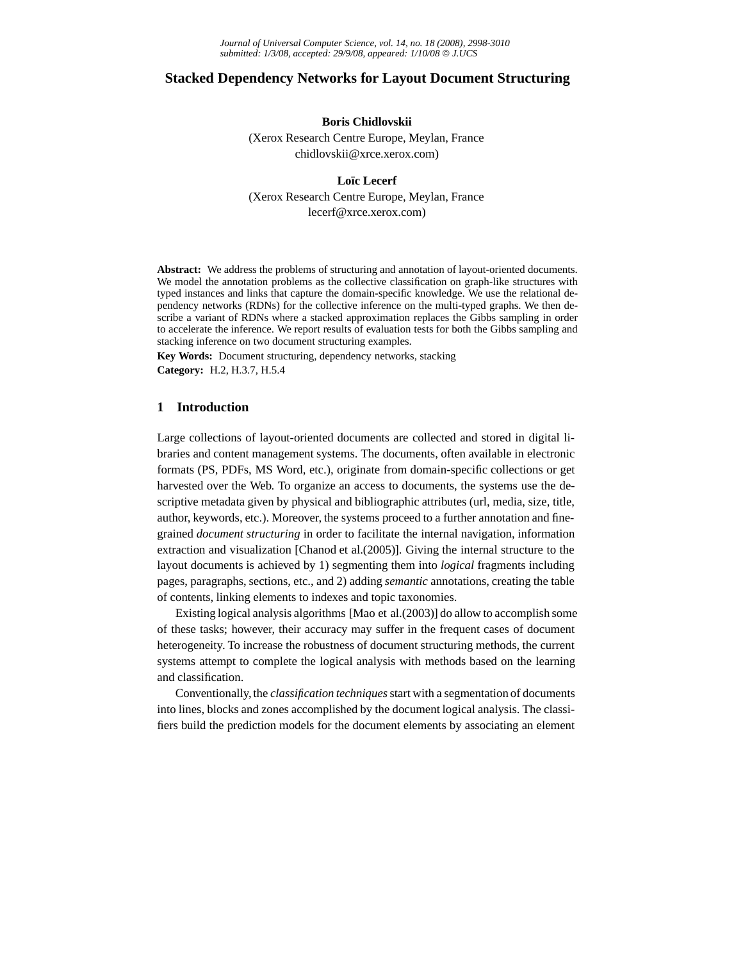# **Stacked Dependency Networks for Layout Document Structuring**

**Boris Chidlovskii** (Xerox Research Centre Europe, Meylan, France chidlovskii@xrce.xerox.com)

# Loïc Lecerf

(Xerox Research Centre Europe, Meylan, France

lecerf@xrce.xerox.com)

**Abstract:** We address the problems of structuring and annotation of layout-oriented documents. We model the annotation problems as the collective classification on graph-like structures with typed instances and links that capture the domain-specific knowledge. We use the relational dependency networks (RDNs) for the collective inference on the multi-typed graphs. We then describe a variant of RDNs where a stacked approximation replaces the Gibbs sampling in order to accelerate the inference. We report results of evaluation tests for both the Gibbs sampling and stacking inference on two document structuring examples.

**Key Words:** Document structuring, dependency networks, stacking **Category:** H.2, H.3.7, H.5.4

# **1 Introduction**

Large collections of layout-oriented documents are collected and stored in digital libraries and content management systems. The documents, often available in electronic formats (PS, PDFs, MS Word, etc.), originate from domain-specific collections or get harvested over the Web. To organize an access to documents, the systems use the descriptive metadata given by physical and bibliographic attributes (url, media, size, title, author, keywords, etc.). Moreover, the systems proceed to a further annotation and finegrained *document structuring* in order to facilitate the internal navigation, information extraction and visualization [Chanod et al.(2005)]. Giving the internal structure to the layout documents is achieved by 1) segmenting them into *logical* fragments including pages, paragraphs, sections, etc., and 2) adding *semantic* annotations, creating the table of contents, linking elements to indexes and topic taxonomies.

Existing logical analysis algorithms [Mao et al.(2003)] do allow to accomplish some of these tasks; however, their accuracy may suffer in the frequent cases of document heterogeneity. To increase the robustness of document structuring methods, the current systems attempt to complete the logical analysis with methods based on the learning and classification.

Conventionally, the *classification techniques* start with a segmentation of documents into lines, blocks and zones accomplished by the document logical analysis. The classifiers build the prediction models for the document elements by associating an element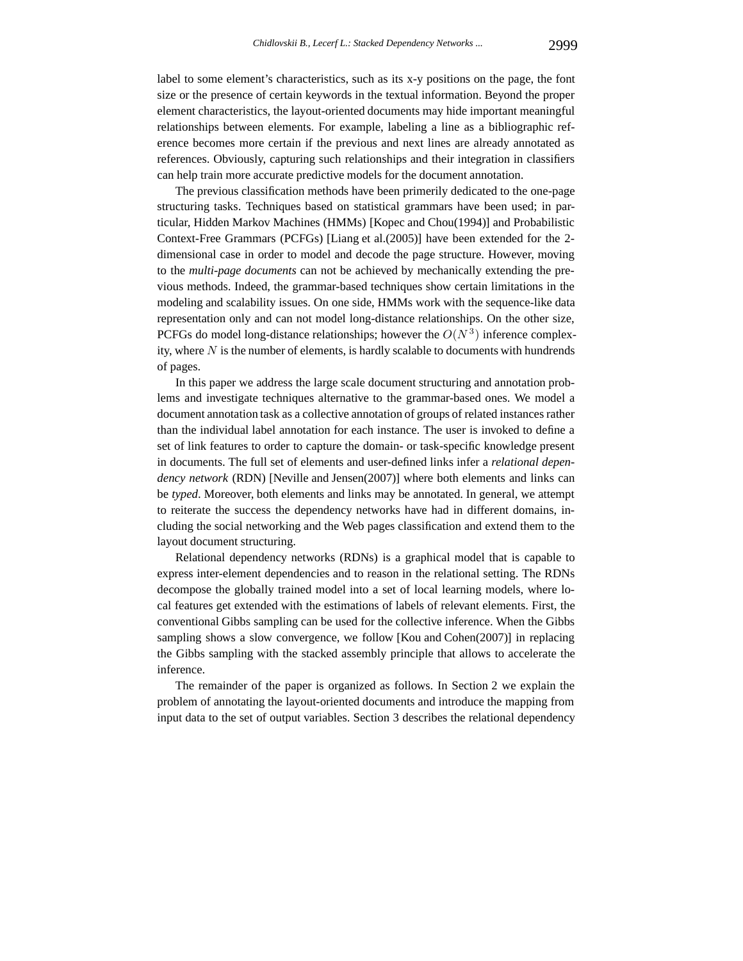label to some element's characteristics, such as its x-y positions on the page, the font size or the presence of certain keywords in the textual information. Beyond the proper element characteristics, the layout-oriented documents may hide important meaningful relationships between elements. For example, labeling a line as a bibliographic reference becomes more certain if the previous and next lines are already annotated as references. Obviously, capturing such relationships and their integration in classifiers can help train more accurate predictive models for the document annotation.

The previous classification methods have been primerily dedicated to the one-page structuring tasks. Techniques based on statistical grammars have been used; in particular, Hidden Markov Machines (HMMs) [Kopec and Chou(1994)] and Probabilistic Context-Free Grammars (PCFGs) [Liang et al.(2005)] have been extended for the 2 dimensional case in order to model and decode the page structure. However, moving to the *multi-page documents* can not be achieved by mechanically extending the previous methods. Indeed, the grammar-based techniques show certain limitations in the modeling and scalability issues. On one side, HMMs work with the sequence-like data representation only and can not model long-distance relationships. On the other size, PCFGs do model long-distance relationships; however the  $O(N^3)$  inference complexity, where  $N$  is the number of elements, is hardly scalable to documents with hundrends of pages.

In this paper we address the large scale document structuring and annotation problems and investigate techniques alternative to the grammar-based ones. We model a document annotation task as a collective annotation of groups of related instances rather than the individual label annotation for each instance. The user is invoked to define a set of link features to order to capture the domain- or task-specific knowledge present in documents. The full set of elements and user-defined links infer a *relational dependency network* (RDN) [Neville and Jensen(2007)] where both elements and links can be *typed*. Moreover, both elements and links may be annotated. In general, we attempt to reiterate the success the dependency networks have had in different domains, including the social networking and the Web pages classification and extend them to the layout document structuring.

Relational dependency networks (RDNs) is a graphical model that is capable to express inter-element dependencies and to reason in the relational setting. The RDNs decompose the globally trained model into a set of local learning models, where local features get extended with the estimations of labels of relevant elements. First, the conventional Gibbs sampling can be used for the collective inference. When the Gibbs sampling shows a slow convergence, we follow [Kou and Cohen(2007)] in replacing the Gibbs sampling with the stacked assembly principle that allows to accelerate the inference.

The remainder of the paper is organized as follows. In Section 2 we explain the problem of annotating the layout-oriented documents and introduce the mapping from input data to the set of output variables. Section 3 describes the relational dependency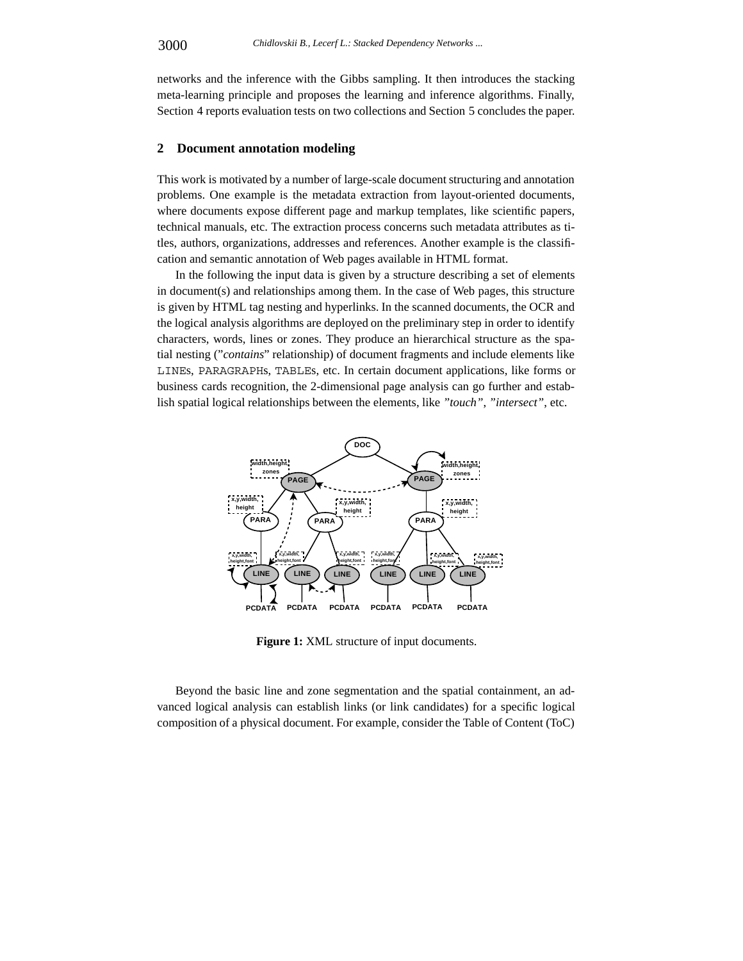networks and the inference with the Gibbs sampling. It then introduces the stacking meta-learning principle and proposes the learning and inference algorithms. Finally, Section 4 reports evaluation tests on two collections and Section 5 concludes the paper.

### **2 Document annotation modeling**

This work is motivated by a number of large-scale document structuring and annotation problems. One example is the metadata extraction from layout-oriented documents, where documents expose different page and markup templates, like scientific papers, technical manuals, etc. The extraction process concerns such metadata attributes as titles, authors, organizations, addresses and references. Another example is the classification and semantic annotation of Web pages available in HTML format.

In the following the input data is given by a structure describing a set of elements in document(s) and relationships among them. In the case of Web pages, this structure is given by HTML tag nesting and hyperlinks. In the scanned documents, the OCR and the logical analysis algorithms are deployed on the preliminary step in order to identify characters, words, lines or zones. They produce an hierarchical structure as the spatial nesting ("*contains*" relationship) of document fragments and include elements like LINEs, PARAGRAPHs, TABLEs, etc. In certain document applications, like forms or business cards recognition, the 2-dimensional page analysis can go further and establish spatial logical relationships between the elements, like *"touch"*, *"intersect"*, etc.



**Figure 1:** XML structure of input documents.

Beyond the basic line and zone segmentation and the spatial containment, an advanced logical analysis can establish links (or link candidates) for a specific logical composition of a physical document. For example, consider the Table of Content (ToC)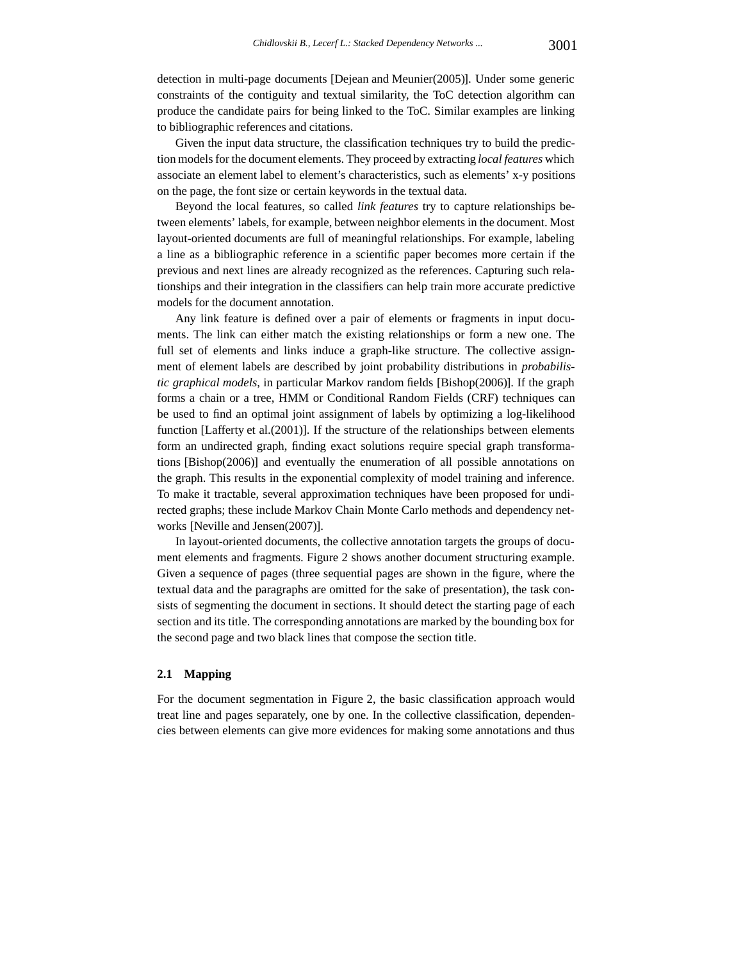detection in multi-page documents [Dejean and Meunier(2005)]. Under some generic constraints of the contiguity and textual similarity, the ToC detection algorithm can produce the candidate pairs for being linked to the ToC. Similar examples are linking to bibliographic references and citations.

Given the input data structure, the classification techniques try to build the prediction models for the document elements. They proceed by extracting *local features* which associate an element label to element's characteristics, such as elements' x-y positions on the page, the font size or certain keywords in the textual data.

Beyond the local features, so called *link features* try to capture relationships between elements' labels, for example, between neighbor elements in the document. Most layout-oriented documents are full of meaningful relationships. For example, labeling a line as a bibliographic reference in a scientific paper becomes more certain if the previous and next lines are already recognized as the references. Capturing such relationships and their integration in the classifiers can help train more accurate predictive models for the document annotation.

Any link feature is defined over a pair of elements or fragments in input documents. The link can either match the existing relationships or form a new one. The full set of elements and links induce a graph-like structure. The collective assignment of element labels are described by joint probability distributions in *probabilistic graphical models*, in particular Markov random fields [Bishop(2006)]. If the graph forms a chain or a tree, HMM or Conditional Random Fields (CRF) techniques can be used to find an optimal joint assignment of labels by optimizing a log-likelihood function [Lafferty et al.(2001)]. If the structure of the relationships between elements form an undirected graph, finding exact solutions require special graph transformations [Bishop(2006)] and eventually the enumeration of all possible annotations on the graph. This results in the exponential complexity of model training and inference. To make it tractable, several approximation techniques have been proposed for undirected graphs; these include Markov Chain Monte Carlo methods and dependency networks [Neville and Jensen(2007)].

In layout-oriented documents, the collective annotation targets the groups of document elements and fragments. Figure 2 shows another document structuring example. Given a sequence of pages (three sequential pages are shown in the figure, where the textual data and the paragraphs are omitted for the sake of presentation), the task consists of segmenting the document in sections. It should detect the starting page of each section and its title. The corresponding annotations are marked by the bounding box for the second page and two black lines that compose the section title.

#### **2.1 Mapping**

For the document segmentation in Figure 2, the basic classification approach would treat line and pages separately, one by one. In the collective classification, dependencies between elements can give more evidences for making some annotations and thus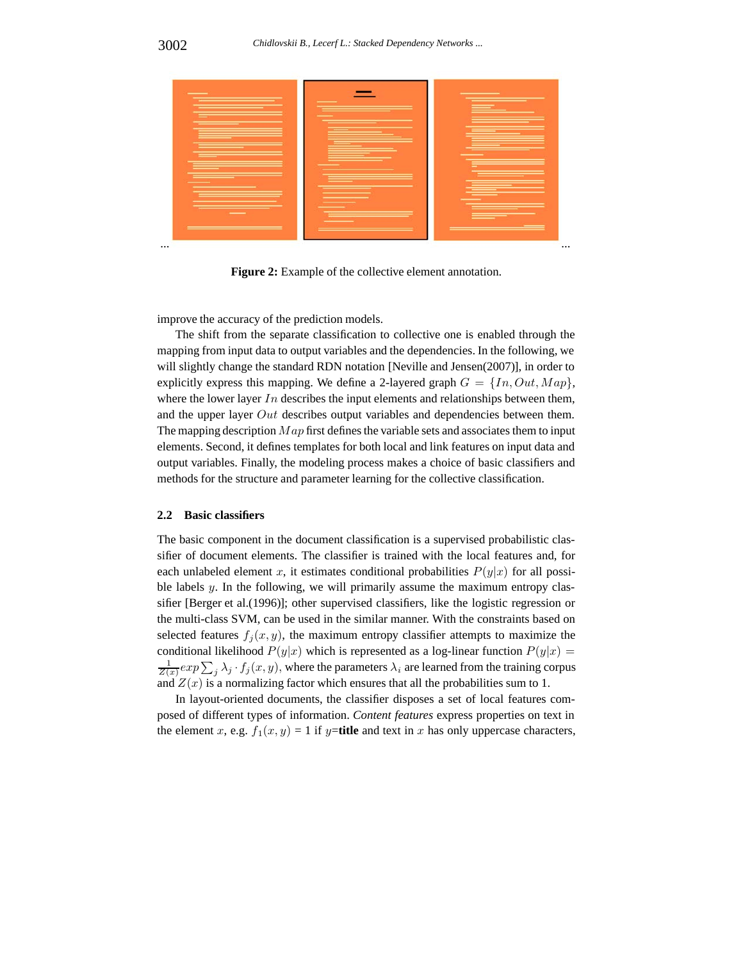

**Figure 2:** Example of the collective element annotation.

improve the accuracy of the prediction models.

The shift from the separate classification to collective one is enabled through the mapping from input data to output variables and the dependencies. In the following, we will slightly change the standard RDN notation [Neville and Jensen(2007)], in order to explicitly express this mapping. We define a 2-layered graph  $G = \{In, Out, Map\}$ , where the lower layer  $In$  describes the input elements and relationships between them, and the upper layer  $Out$  describes output variables and dependencies between them. The mapping description  $Map$  first defines the variable sets and associates them to input elements. Second, it defines templates for both local and link features on input data and output variables. Finally, the modeling process makes a choice of basic classifiers and methods for the structure and parameter learning for the collective classification.

#### **2.2 Basic classifiers**

The basic component in the document classification is a supervised probabilistic classifier of document elements. The classifier is trained with the local features and, for each unlabeled element x, it estimates conditional probabilities  $P(y|x)$  for all possible labels  $y$ . In the following, we will primarily assume the maximum entropy classifier [Berger et al.(1996)]; other supervised classifiers, like the logistic regression or the multi-class SVM, can be used in the similar manner. With the constraints based on selected features  $f_i(x, y)$ , the maximum entropy classifier attempts to maximize the conditional likelihood  $P(y|x)$  which is represented as a log-linear function  $P(y|x)$  =  $\frac{1}{Z(x)} exp \sum_j \lambda_j \cdot f_j(x, y)$ , where the parameters  $\lambda_i$  are learned from the training corpus<br>and  $Z(x)$  is a pormulizing factor which ansures that all the probabilities sum to 1 and  $Z(x)$  is a normalizing factor which ensures that all the probabilities sum to 1.

In layout-oriented documents, the classifier disposes a set of local features composed of different types of information. *Content features* express properties on text in the element x, e.g.  $f_1(x, y) = 1$  if y=title and text in x has only uppercase characters,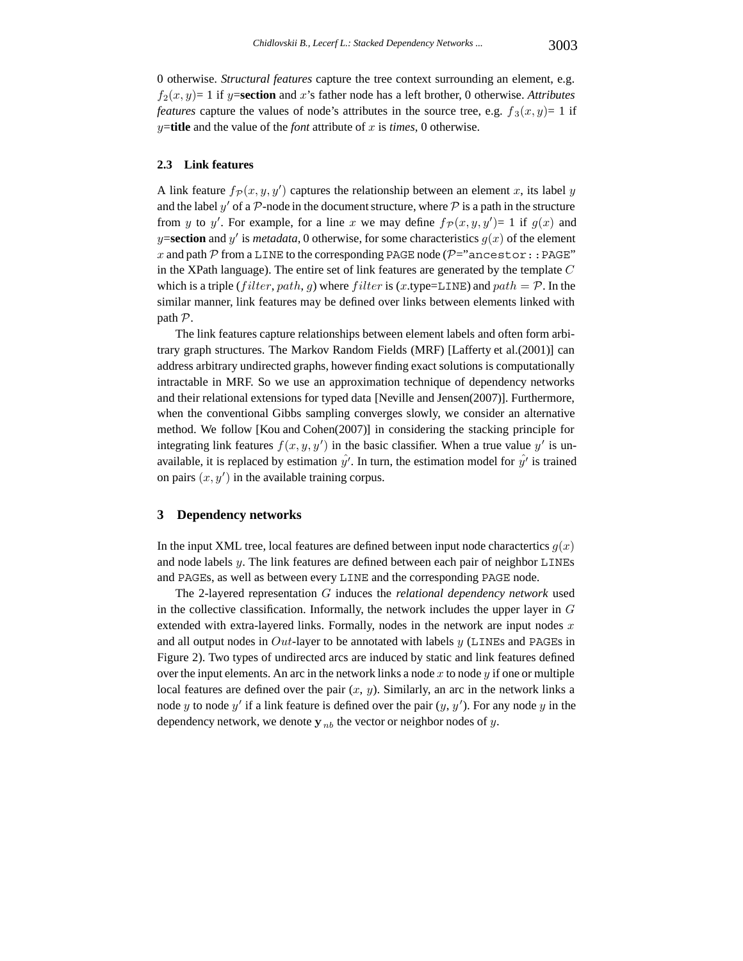0 otherwise. *Structural features* capture the tree context surrounding an element, e.g.  $f_2(x, y) = 1$  if y=**section** and x's father node has a left brother, 0 otherwise. Attributes *features* capture the values of node's attributes in the source tree, e.g.  $f_3(x, y) = 1$  if  $y$ =title and the value of the *font* attribute of x is *times*, 0 otherwise.

# **2.3 Link features**

A link feature  $f_{\mathcal{P}}(x, y, y')$  captures the relationship between an element x, its label y and the label y' of a P-node in the document structure, where P is a path in the structure<br>from at to all For a regular for a line g we may define  $f_n(x, u, u') = 1$  if  $g(x)$  and from y to y'. For example, for a line x we may define  $f_{\mathcal{P}}(x, y, y') = 1$  if  $g(x)$  and<br>exposition and y' is matadata. O otherwise, for some ehereateristics  $g(x)$  of the element y=**section** and y' is *metadata*, 0 otherwise, for some characteristics  $g(x)$  of the element<br>a and noth  $\mathcal{D}$  from a LIVE to the corresponding  $\mathcal{D}(\mathcal{D})$  and  $g(\mathcal{D}^{-1})$  and  $g(x)$ .  $\mathcal{D}(\mathcal{D})$ x and path  $P$  from a LINE to the corresponding PAGE node ( $P=$ "ancestor::PAGE" in the XPath language). The entire set of link features are generated by the template  $C$ which is a triple (filter, path, g) where filter is (x.type=LINE) and path =  $P$ . In the similar manner, link features may be defined over links between elements linked with path P.

The link features capture relationships between element labels and often form arbitrary graph structures. The Markov Random Fields (MRF) [Lafferty et al.(2001)] can address arbitrary undirected graphs, however finding exact solutions is computationally intractable in MRF. So we use an approximation technique of dependency networks and their relational extensions for typed data [Neville and Jensen(2007)]. Furthermore, when the conventional Gibbs sampling converges slowly, we consider an alternative method. We follow  $[Kou and Cohen(2007)]$  in considering the stacking principle for integrating link features  $f(x, y, y')$  in the basic classifier. When a true value y' is un-<br>evolutely it is replaced by estimation of In turn the estimation model for of is trained available, it is replaced by estimation  $\hat{y'}$ . In turn, the estimation model for  $\hat{y'}$  is trained<br>on noirs  $(a, y')$  in the sysilable training corpus. on pairs  $(x, y')$  in the available training corpus.

### **3 Dependency networks**

In the input XML tree, local features are defined between input node charactertics  $g(x)$ and node labels  $y$ . The link features are defined between each pair of neighbor  $LTNES$ and PAGEs, as well as between every LINE and the corresponding PAGE node.

The 2-layered representation G induces the *relational dependency network* used in the collective classification. Informally, the network includes the upper layer in  $G$ extended with extra-layered links. Formally, nodes in the network are input nodes  $x$ and all output nodes in  $Out$ -layer to be annotated with labels  $y$  (LINEs and PAGEs in Figure 2). Two types of undirected arcs are induced by static and link features defined over the input elements. An arc in the network links a node  $x$  to node  $y$  if one or multiple local features are defined over the pair  $(x, y)$ . Similarly, an arc in the network links a node y to node y' if a link feature is defined over the pair  $(y, y')$ . For any node y in the dependency patriciple we denote  $y$ , the vector or pairbbox pades of  $y$ . dependency network, we denote  $y_{nb}$  the vector or neighbor nodes of y.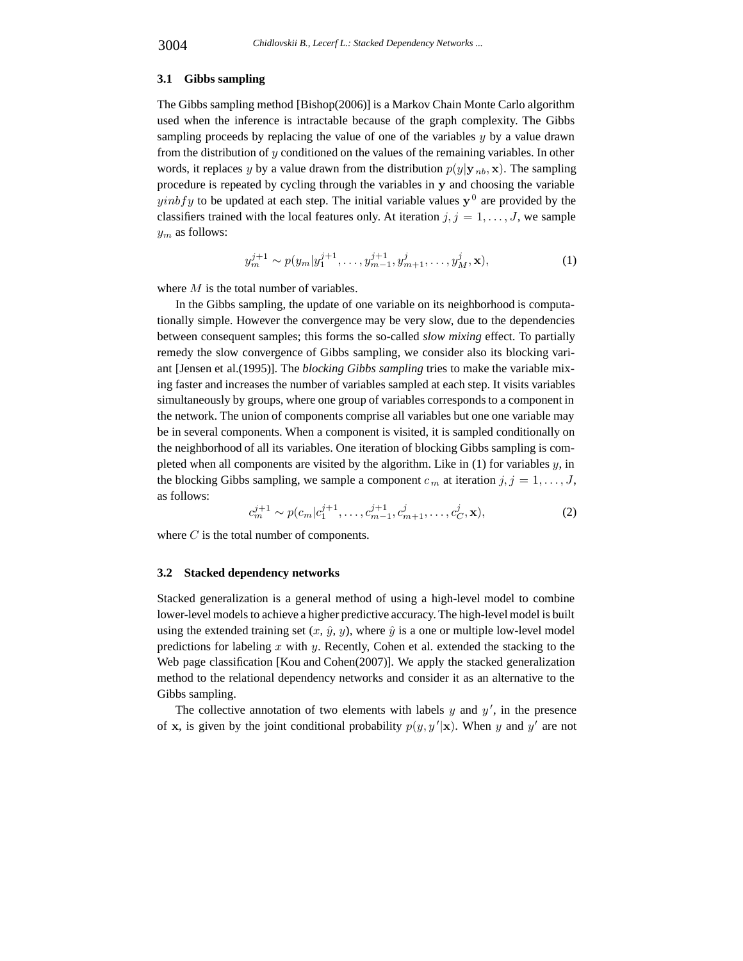### **3.1 Gibbs sampling**

The Gibbs sampling method [Bishop(2006)] is a Markov Chain Monte Carlo algorithm used when the inference is intractable because of the graph complexity. The Gibbs sampling proceeds by replacing the value of one of the variables  $y$  by a value drawn from the distribution of  $y$  conditioned on the values of the remaining variables. In other words, it replaces y by a value drawn from the distribution  $p(y|\mathbf{y}_{nb}, \mathbf{x})$ . The sampling procedure is repeated by cycling through the variables in **y** and choosing the variable  $yinbfy$  to be updated at each step. The initial variable values  $y<sup>0</sup>$  are provided by the classifiers trained with the local features only. At iteration  $j, j = 1, \ldots, J$ , we sample <sup>y</sup>*m* as follows:

$$
y_m^{j+1} \sim p(y_m | y_1^{j+1}, \dots, y_{m-1}^{j+1}, y_{m+1}^j, \dots, y_M^j, \mathbf{x}),\tag{1}
$$

where  $M$  is the total number of variables.

In the Gibbs sampling, the update of one variable on its neighborhood is computationally simple. However the convergence may be very slow, due to the dependencies between consequent samples; this forms the so-called *slow mixing* effect. To partially remedy the slow convergence of Gibbs sampling, we consider also its blocking variant [Jensen et al.(1995)]. The *blocking Gibbs sampling* tries to make the variable mixing faster and increases the number of variables sampled at each step. It visits variables simultaneously by groups, where one group of variables corresponds to a component in the network. The union of components comprise all variables but one one variable may be in several components. When a component is visited, it is sampled conditionally on the neighborhood of all its variables. One iteration of blocking Gibbs sampling is completed when all components are visited by the algorithm. Like in  $(1)$  for variables y, in the blocking Gibbs sampling, we sample a component  $c_m$  at iteration  $j, j = 1, \ldots, J$ , as follows:

$$
c_m^{j+1} \sim p(c_m|c_1^{j+1}, \dots, c_{m-1}^{j+1}, c_{m+1}^j, \dots, c_C^j, \mathbf{x}),\tag{2}
$$

where  $C$  is the total number of components.

#### **3.2 Stacked dependency networks**

Stacked generalization is a general method of using a high-level model to combine lower-level models to achieve a higher predictive accuracy. The high-level model is built using the extended training set  $(x, \hat{y}, y)$ , where  $\hat{y}$  is a one or multiple low-level model predictions for labeling x with y. Recently, Cohen et al. extended the stacking to the Web page classification [Kou and Cohen(2007)]. We apply the stacked generalization method to the relational dependency networks and consider it as an alternative to the Gibbs sampling.

The collective annotation of two elements with labels y and y', in the presence of **x**, is given by the joint conditional probability  $p(y, y'|\mathbf{x})$ . When y and y' are not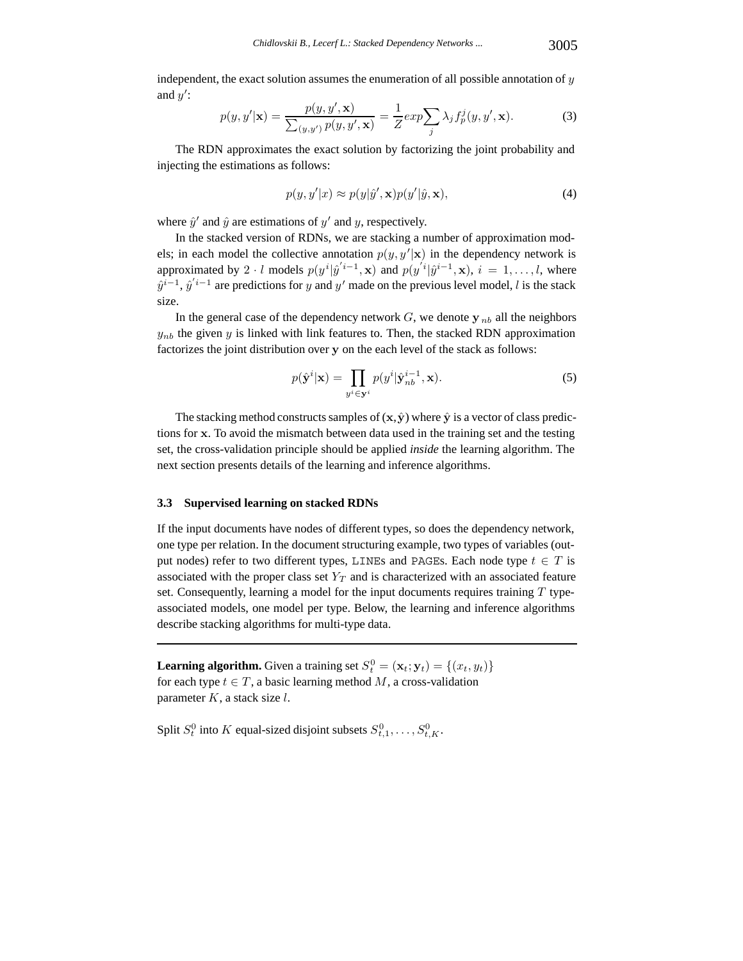independent, the exact solution assumes the enumeration of all possible annotation of  $y$ and  $y'$ :

$$
p(y, y'|\mathbf{x}) = \frac{p(y, y', \mathbf{x})}{\sum_{(y, y')} p(y, y', \mathbf{x})} = \frac{1}{Z} exp\sum_{j} \lambda_j f_p^j(y, y', \mathbf{x}).
$$
 (3)

The RDN approximates the exact solution by factorizing the joint probability and injecting the estimations as follows:

$$
p(y, y'|x) \approx p(y|\hat{y}', \mathbf{x})p(y'|\hat{y}, \mathbf{x}),\tag{4}
$$

where  $\hat{y}'$  and  $\hat{y}$  are estimations of  $y'$  and  $y$ , respectively.<br>In the steaked version of PDNs, we are steaking a r

In the stacked version of RDNs, we are stacking a number of approximation models; in each model the collective annotation  $p(y, y'|\mathbf{x})$  in the dependency network is<br>conveximeted by 2. *l*, models  $p(x_i^i|\hat{\alpha}^{i-1}, \mathbf{x})$  and  $p(x_i^i|\hat{\alpha}^{i-1}, \mathbf{x})$  is  $-1$ , *l*, where approximated by 2 · l models  $p(y^i | \hat{y}^{i-1}, \mathbf{x})$  and  $p(y^i | \hat{y}^{i-1}, \mathbf{x})$ ,  $i = 1, \ldots, l$ , where  $\hat{y}^{i-1}$ ,  $\hat{y}^{'i-1}$  are predictions for y and y' made on the previous level model, l is the stack size.

In the general case of the dependency network  $G$ , we denote  $y_{nb}$  all the neighbors  $y_{nb}$  the given  $y$  is linked with link features to. Then, the stacked RDN approximation factorizes the joint distribution over **y** on the each level of the stack as follows:

$$
p(\hat{\mathbf{y}}^i|\mathbf{x}) = \prod_{y^i \in \mathbf{y}^i} p(y^i|\hat{\mathbf{y}}_{nb}^{i-1}, \mathbf{x}).
$$
 (5)

The stacking method constructs samples of  $(\mathbf{x}, \hat{\mathbf{y}})$  where  $\hat{\mathbf{y}}$  is a vector of class predictions for **x**. To avoid the mismatch between data used in the training set and the testing set, the cross-validation principle should be applied *inside* the learning algorithm. The next section presents details of the learning and inference algorithms.

### **3.3 Supervised learning on stacked RDNs**

If the input documents have nodes of different types, so does the dependency network, one type per relation. In the document structuring example, two types of variables (output nodes) refer to two different types, LINEs and PAGEs. Each node type  $t \in T$  is associated with the proper class set  $Y_T$  and is characterized with an associated feature set. Consequently, learning a model for the input documents requires training  $T$  typeassociated models, one model per type. Below, the learning and inference algorithms describe stacking algorithms for multi-type data.

**Learning algorithm.** Given a training set  $S_t^0 = (\mathbf{x}_t; \mathbf{y}_t) = \{(x_t, y_t)\}$ <br>for seek time  $t \in T$ , a besig learning method  $M$ , a gross validation. for each type  $t \in T$ , a basic learning method M, a cross-validation parameter  $K$ , a stack size  $l$ .

Split  $S_t^0$  into K equal-sized disjoint subsets  $S_{t,1}^0, \ldots, S_{t,K}^0$ .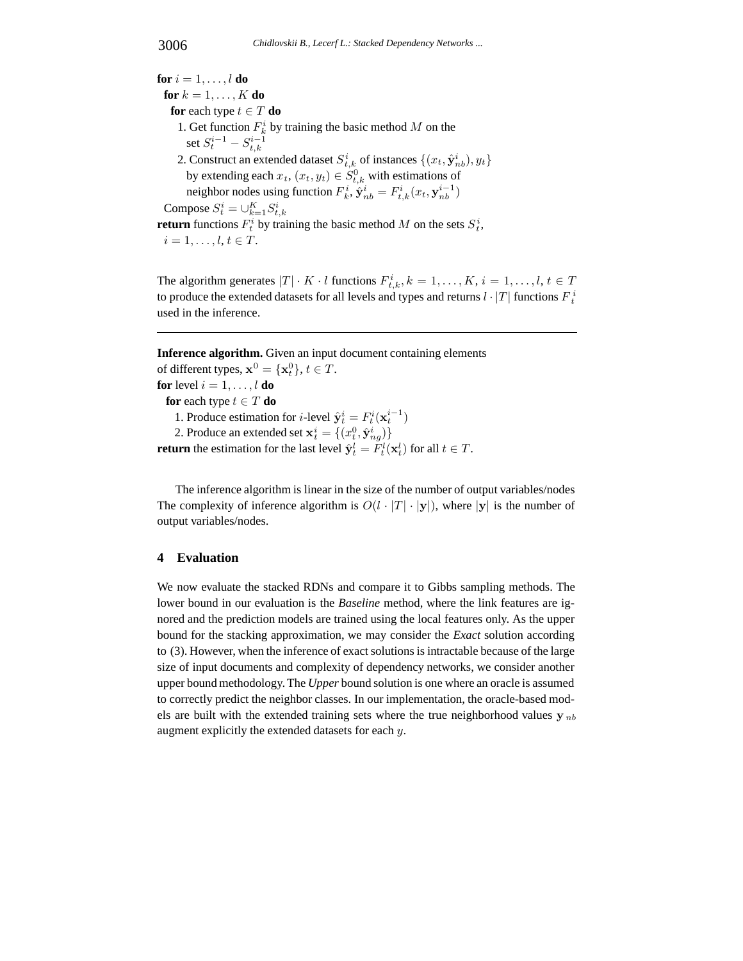**for**  $i = 1, ..., l$  **do for**  $k = 1, \ldots, K$  **do for** each type  $t \in T$  **do** 1. Get function  $F_k^i$  by training the basic method M on the set  $S_i^{i-1}$   $S_i^{i-1}$ set  $S_t^{i-1} - S_{t,k}^{i-1}$ 2. Construct an extended dataset  $S_{t,k}^i$  of instances  $\{(x_t, \hat{\mathbf{y}}_{nb}^i), y_t\}$ by extending each  $x_t$ ,  $(x_t, y_t) \in S^0_{t,k}$  with estimations of neighbor nodes using function  $F_k^i$ ,  $\hat{\mathbf{y}}_{nb}^i = F_{t,k}^i(x_t, \mathbf{y}_{nb}^{i-1})$  $\text{Compare } S_t^i = \bigcup_{k=1}^K S_t^i$ <br> **turn** functions  $F_t^i$  by to **return** functions  $F_t^i$  by training the basic method M on the sets  $S_t^i$ ,  $i=1,\ldots,l, t \in T$ .

The algorithm generates  $|T| \cdot K \cdot l$  functions  $F_{t,k}^i, k = 1, \ldots, K, i = 1, \ldots, l, t \in T$ <br>to produce the extended detects for all levels and truess and returns  $l$ ,  $|T|$  functions  $F_i^i$ to produce the extended datasets for all levels and types and returns  $l \cdot |T|$  functions  $F_t^i$ used in the inference.

**Inference algorithm.** Given an input document containing elements of different types,  $\mathbf{x}^0 = {\mathbf{x}_t^0}$ ,  $t \in T$ .<br>**for** layel  $i = 1, \ldots, l$  de **for** level  $i = 1, \ldots, l$  **do for** each type  $t \in T$  **do** 1. Produce estimation for *i*-level  $\hat{\mathbf{y}}_t^i = F_t^i(\mathbf{x}_t^{i-1})$ <br>2. Produce an autoprobablised  $\mathbf{x}_t^i = \frac{\int_{t}^{t} (\mathbf{x}_t^{i-1})}{\int_{t}^{t} (\mathbf{x}_t^{i-1})^2}$ 2. Produce an extended set  $\mathbf{x}_t^i = \{(x_t^0, \hat{\mathbf{y}}_{ng}^i)\}\$ **return** the estimation for the last level  $\hat{\mathbf{y}}_t^l = F_t^l(\mathbf{x}_t^l)$  for all  $t \in T$ .

The inference algorithm is linear in the size of the number of output variables/nodes The complexity of inference algorithm is  $O(l \cdot |T| \cdot |y|)$ , where  $|y|$  is the number of output variables/nodes.

# **4 Evaluation**

We now evaluate the stacked RDNs and compare it to Gibbs sampling methods. The lower bound in our evaluation is the *Baseline* method, where the link features are ignored and the prediction models are trained using the local features only. As the upper bound for the stacking approximation, we may consider the *Exact* solution according to (3). However, when the inference of exact solutions is intractable because of the large size of input documents and complexity of dependency networks, we consider another upper bound methodology. The *Upper* bound solution is one where an oracle is assumed to correctly predict the neighbor classes. In our implementation, the oracle-based models are built with the extended training sets where the true neighborhood values  $y_{nb}$ augment explicitly the extended datasets for each y.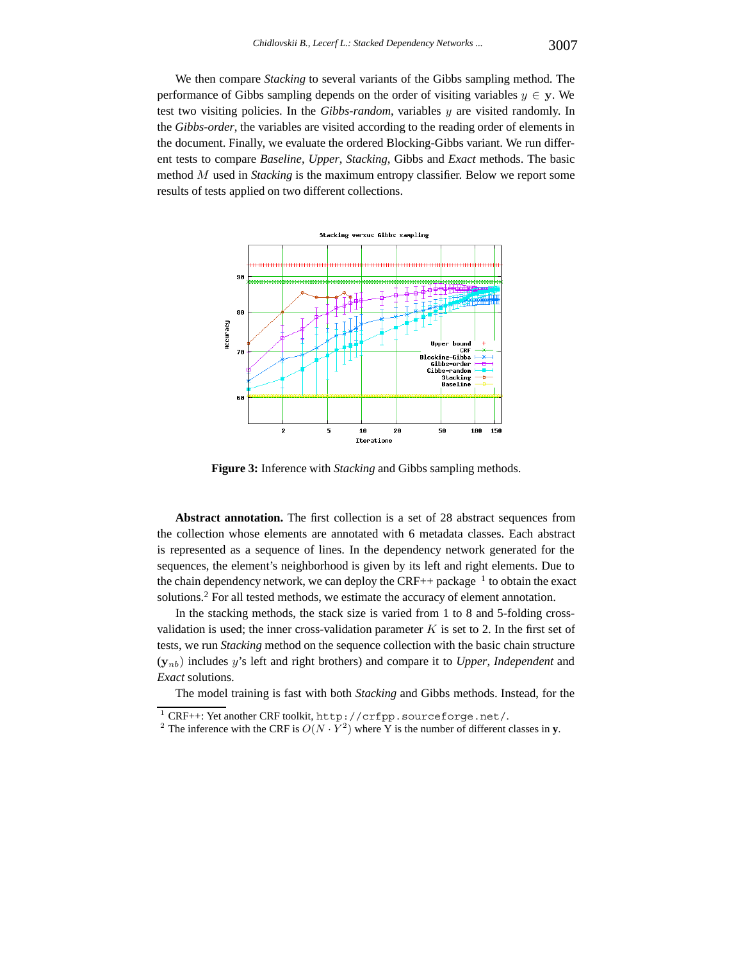We then compare *Stacking* to several variants of the Gibbs sampling method. The performance of Gibbs sampling depends on the order of visiting variables  $y \in y$ . We test two visiting policies. In the *Gibbs-random*, variables y are visited randomly. In the *Gibbs-order*, the variables are visited according to the reading order of elements in the document. Finally, we evaluate the ordered Blocking-Gibbs variant. We run different tests to compare *Baseline*, *Upper*, *Stacking*, Gibbs and *Exact* methods. The basic method M used in *Stacking* is the maximum entropy classifier. Below we report some results of tests applied on two different collections.



**Figure 3:** Inference with *Stacking* and Gibbs sampling methods.

**Abstract annotation.** The first collection is a set of 28 abstract sequences from the collection whose elements are annotated with 6 metadata classes. Each abstract is represented as a sequence of lines. In the dependency network generated for the sequences, the element's neighborhood is given by its left and right elements. Due to the chain dependency network, we can deploy the CRF++ package  $1$  to obtain the exact solutions.<sup>2</sup> For all tested methods, we estimate the accuracy of element annotation.

In the stacking methods, the stack size is varied from 1 to 8 and 5-folding crossvalidation is used; the inner cross-validation parameter  $K$  is set to 2. In the first set of tests, we run *Stacking* method on the sequence collection with the basic chain structure (**y***nb*) includes <sup>y</sup>'s left and right brothers) and compare it to *Upper*, *Independent* and *Exact* solutions.

The model training is fast with both *Stacking* and Gibbs methods. Instead, for the

<sup>&</sup>lt;sup>1</sup> CRF++: Yet another CRF toolkit, http://crfpp.sourceforge.net/.<br><sup>2</sup> The inference with the CRF is  $O(N \cdot Y^2)$  where Y is the number of different classes in **y**.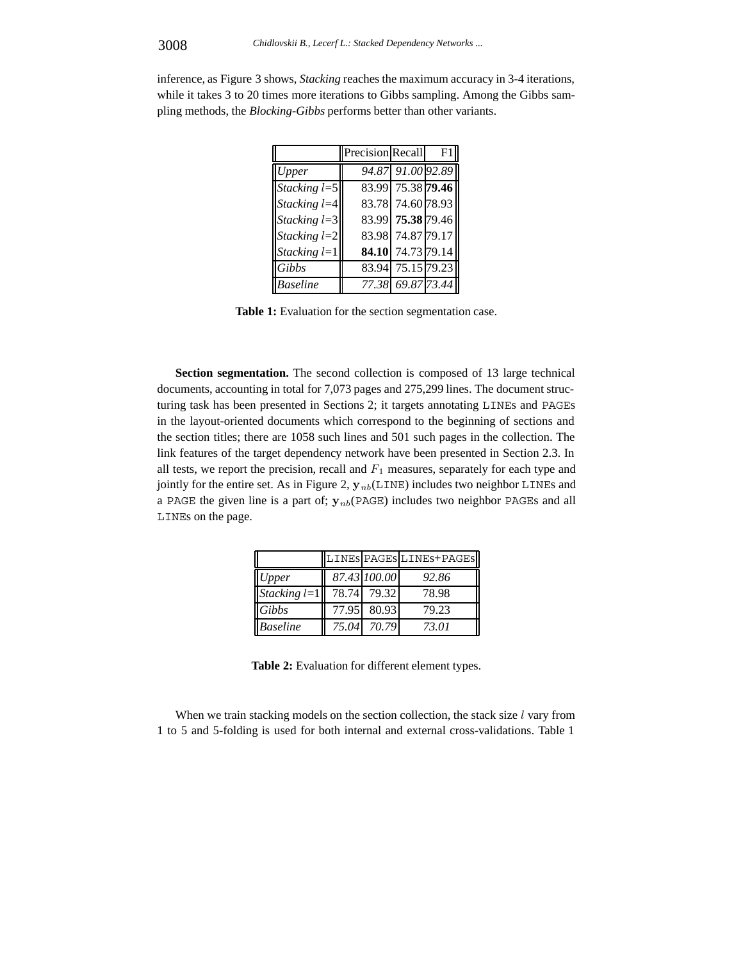|                 | <b>Precision Recall</b> |                   | F1 |
|-----------------|-------------------------|-------------------|----|
| Upper           |                         | 94.87 91.00 92.89 |    |
| Stacking $l=5$  |                         | 83.99 75.38 79.46 |    |
| Stacking $l=4$  |                         | 83.78 74.60 78.93 |    |
| Stacking $l=3$  |                         | 83.99 75.38 79.46 |    |
| Stacking $l=2$  |                         | 83.98 74.87 79.17 |    |
| Stacking $l=1$  |                         | 84.10 74.73 79.14 |    |
| Gibbs           |                         | 83.94 75.15 79.23 |    |
| <b>Baseline</b> |                         | 77.38 69.87 73.44 |    |

inference, as Figure 3 shows, *Stacking* reaches the maximum accuracy in 3-4 iterations, while it takes 3 to 20 times more iterations to Gibbs sampling. Among the Gibbs sampling methods, the *Blocking-Gibbs* performs better than other variants.

**Table 1:** Evaluation for the section segmentation case.

**Section segmentation.** The second collection is composed of 13 large technical documents, accounting in total for 7,073 pages and 275,299 lines. The document structuring task has been presented in Sections 2; it targets annotating LINEs and PAGEs in the layout-oriented documents which correspond to the beginning of sections and the section titles; there are 1058 such lines and 501 such pages in the collection. The link features of the target dependency network have been presented in Section 2.3. In all tests, we report the precision, recall and  $F_1$  measures, separately for each type and jointly for the entire set. As in Figure 2, **<sup>y</sup>***nb*(LINE) includes two neighbor LINEs and <sup>a</sup> PAGE the given line is a part of; **<sup>y</sup>***nb*(PAGE) includes two neighbor PAGEs and all LINEs on the page.

|                                         |       |              | LINES PAGES LINES+PAGES |
|-----------------------------------------|-------|--------------|-------------------------|
| <b>Upper</b>                            |       | 87.43 100.00 | 92.86                   |
| Stacking $l=1$                          |       | 78.74 79.32  | 78.98                   |
| $\overline{\overline{\mathsf{G}}}$ ibbs |       | 77.95 80.93  | 79.23                   |
| Baseline                                | 75.04 | 70.79        | 73.01                   |

**Table 2:** Evaluation for different element types.

When we train stacking models on the section collection, the stack size  $l$  vary from 1 to 5 and 5-folding is used for both internal and external cross-validations. Table 1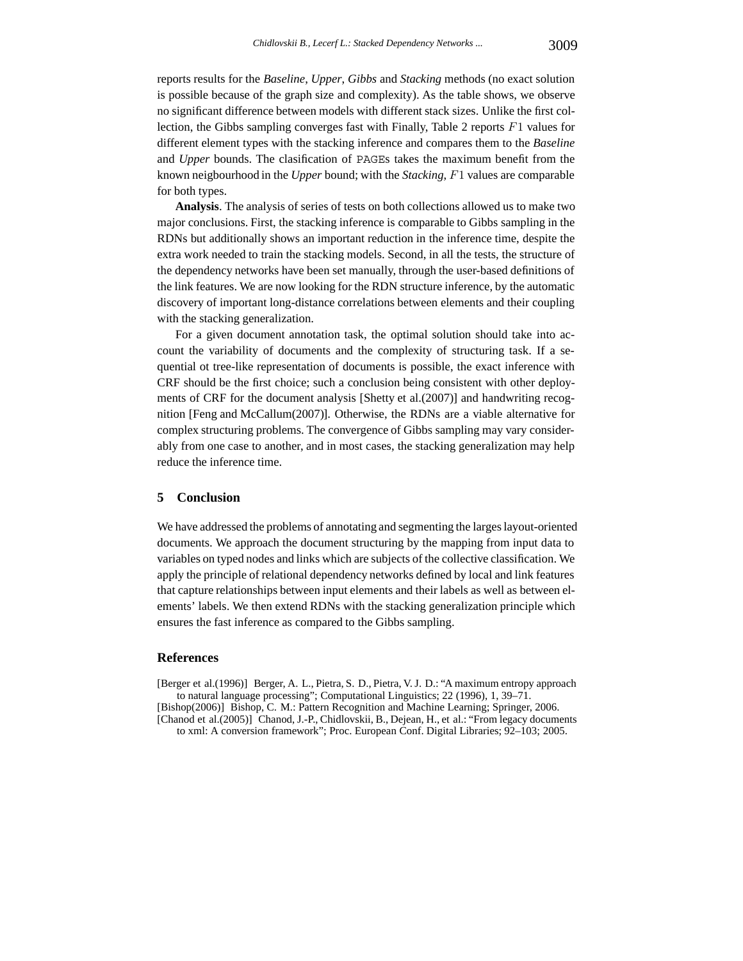reports results for the *Baseline*, *Upper*, *Gibbs* and *Stacking* methods (no exact solution is possible because of the graph size and complexity). As the table shows, we observe no significant difference between models with different stack sizes. Unlike the first collection, the Gibbs sampling converges fast with Finally, Table 2 reports F<sup>1</sup> values for different element types with the stacking inference and compares them to the *Baseline* and *Upper* bounds. The clasification of PAGEs takes the maximum benefit from the known neigbourhood in the *Upper* bound; with the *Stacking*, F<sup>1</sup> values are comparable for both types.

**Analysis**. The analysis of series of tests on both collections allowed us to make two major conclusions. First, the stacking inference is comparable to Gibbs sampling in the RDNs but additionally shows an important reduction in the inference time, despite the extra work needed to train the stacking models. Second, in all the tests, the structure of the dependency networks have been set manually, through the user-based definitions of the link features. We are now looking for the RDN structure inference, by the automatic discovery of important long-distance correlations between elements and their coupling with the stacking generalization.

For a given document annotation task, the optimal solution should take into account the variability of documents and the complexity of structuring task. If a sequential ot tree-like representation of documents is possible, the exact inference with CRF should be the first choice; such a conclusion being consistent with other deployments of CRF for the document analysis [Shetty et al.(2007)] and handwriting recognition [Feng and McCallum(2007)]. Otherwise, the RDNs are a viable alternative for complex structuring problems. The convergence of Gibbs sampling may vary considerably from one case to another, and in most cases, the stacking generalization may help reduce the inference time.

# **5 Conclusion**

We have addressed the problems of annotating and segmenting the larges layout-oriented documents. We approach the document structuring by the mapping from input data to variables on typed nodes and links which are subjects of the collective classification. We apply the principle of relational dependency networks defined by local and link features that capture relationships between input elements and their labels as well as between elements' labels. We then extend RDNs with the stacking generalization principle which ensures the fast inference as compared to the Gibbs sampling.

### **References**

[Berger et al.(1996)] Berger, A. L., Pietra, S. D., Pietra, V. J. D.: "A maximum entropy approach to natural language processing"; Computational Linguistics; 22 (1996), 1, 39–71. [Bishop(2006)] Bishop, C. M.: Pattern Recognition and Machine Learning; Springer, 2006.

[Chanod et al.(2005)] Chanod, J.-P., Chidlovskii, B., Dejean, H., et al.: "From legacy documents to xml: A conversion framework"; Proc. European Conf. Digital Libraries; 92–103; 2005.